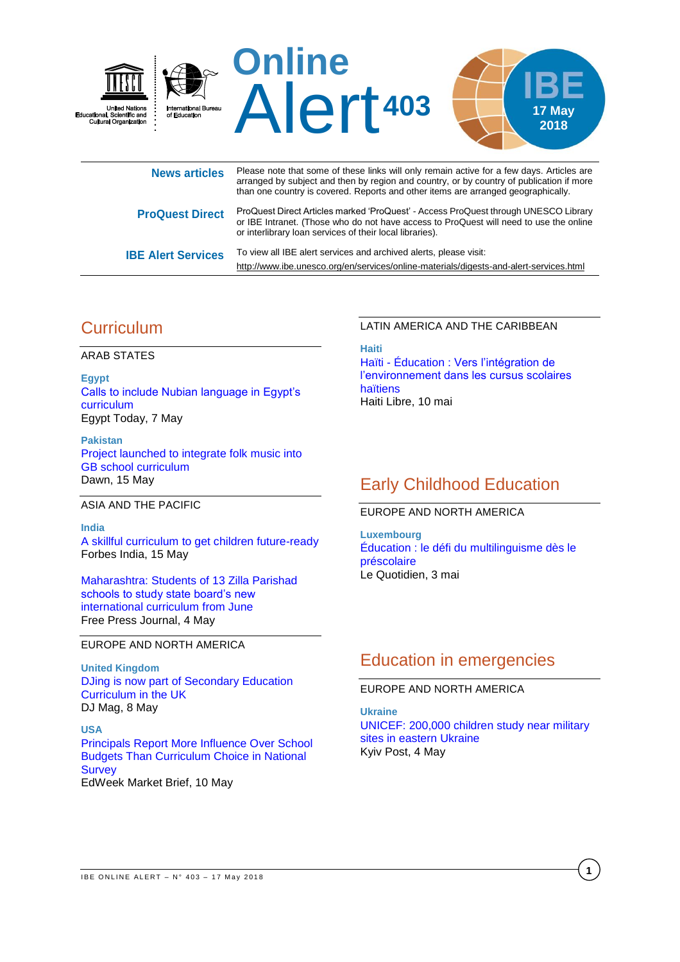

or IBE Intranet. (Those who do not have access to ProQuest will need to use the online or interlibrary loan services of their local libraries). **IBE Alert Services** To view all IBE alert services and archived alerts, please visit:

<http://www.ibe.unesco.org/en/services/online-materials/digests-and-alert-services.html>

## **Curriculum**

ARAB STATES

**Egypt** [Calls to include Nubian language in Egypt's](http://www.egypttoday.com/Article/1/49495/Calls-to-include-Nubian-language-in-Egypt%E2%80%99s-curriculum)  [curriculum](http://www.egypttoday.com/Article/1/49495/Calls-to-include-Nubian-language-in-Egypt%E2%80%99s-curriculum) Egypt Today, 7 May

**Pakistan** [Project launched to integrate folk music into](https://www.dawn.com/news/1407766/project-launched-to-integrate-folk-music-into-gb-school-curriculum)  [GB school curriculum](https://www.dawn.com/news/1407766/project-launched-to-integrate-folk-music-into-gb-school-curriculum) Dawn, 15 May

#### ASIA AND THE PACIFIC

**India** A [skillful curriculum to get children future-ready](http://www.forbesindia.com/blog/education/a-skillful-curriculum-to-get-children-future-ready/) Forbes India, 15 May

[Maharashtra: Students of 13 Zilla Parishad](http://www.freepressjournal.in/mumbai/maharashtra-students-of-13-zilla-parishad-schools-to-study-state-boards-new-international-curriculum-from-june/1270337)  [schools to study state board's new](http://www.freepressjournal.in/mumbai/maharashtra-students-of-13-zilla-parishad-schools-to-study-state-boards-new-international-curriculum-from-june/1270337)  [international curriculum from June](http://www.freepressjournal.in/mumbai/maharashtra-students-of-13-zilla-parishad-schools-to-study-state-boards-new-international-curriculum-from-june/1270337) Free Press Journal, 4 May

EUROPE AND NORTH AMERICA

**United Kingdom** [DJing is now part of Secondary Education](https://djmag.com/content/djing-now-part-secondary-education-curriculum-uk)  [Curriculum in the UK](https://djmag.com/content/djing-now-part-secondary-education-curriculum-uk) DJ Mag, 8 May

**USA** Principals [Report More Influence Over School](https://marketbrief.edweek.org/marketplace-k-12/principals-report-influence-school-budgets-curriculum-choice-national-survey/)  [Budgets Than Curriculum Choice in National](https://marketbrief.edweek.org/marketplace-k-12/principals-report-influence-school-budgets-curriculum-choice-national-survey/)  **[Survey](https://marketbrief.edweek.org/marketplace-k-12/principals-report-influence-school-budgets-curriculum-choice-national-survey/)** EdWeek Market Brief, 10 May

## LATIN AMERICA AND THE CARIBBEAN

**Haiti** Haïti - [Éducation : Vers l'intégration de](http://www.haitilibre.com/article-24347-haiti-education-vers-l-integration-de-l-environnement-dans-les-cursus-scolaires-haitiens.html)  [l'environnement dans les cursus scolaires](http://www.haitilibre.com/article-24347-haiti-education-vers-l-integration-de-l-environnement-dans-les-cursus-scolaires-haitiens.html)  [haïtiens](http://www.haitilibre.com/article-24347-haiti-education-vers-l-integration-de-l-environnement-dans-les-cursus-scolaires-haitiens.html) Haiti Libre, 10 mai

## Early Childhood Education

### EUROPE AND NORTH AMERICA

**Luxembourg** [Éducation : le défi du multilinguisme dès le](http://www.lequotidien.lu/politique-et-societe/education-le-defi-du-multilinguisme-des-le-prescolaire/)  [préscolaire](http://www.lequotidien.lu/politique-et-societe/education-le-defi-du-multilinguisme-des-le-prescolaire/) Le Quotidien, 3 mai

# Education in emergencies

### EUROPE AND NORTH AMERICA

**Ukraine** [UNICEF: 200,000 children study near military](https://www.kyivpost.com/ukraine-politics/unicef-200000-children-study-near-military-sites-eastern-ukraine.html)  [sites in eastern Ukraine](https://www.kyivpost.com/ukraine-politics/unicef-200000-children-study-near-military-sites-eastern-ukraine.html) Kyiv Post, 4 May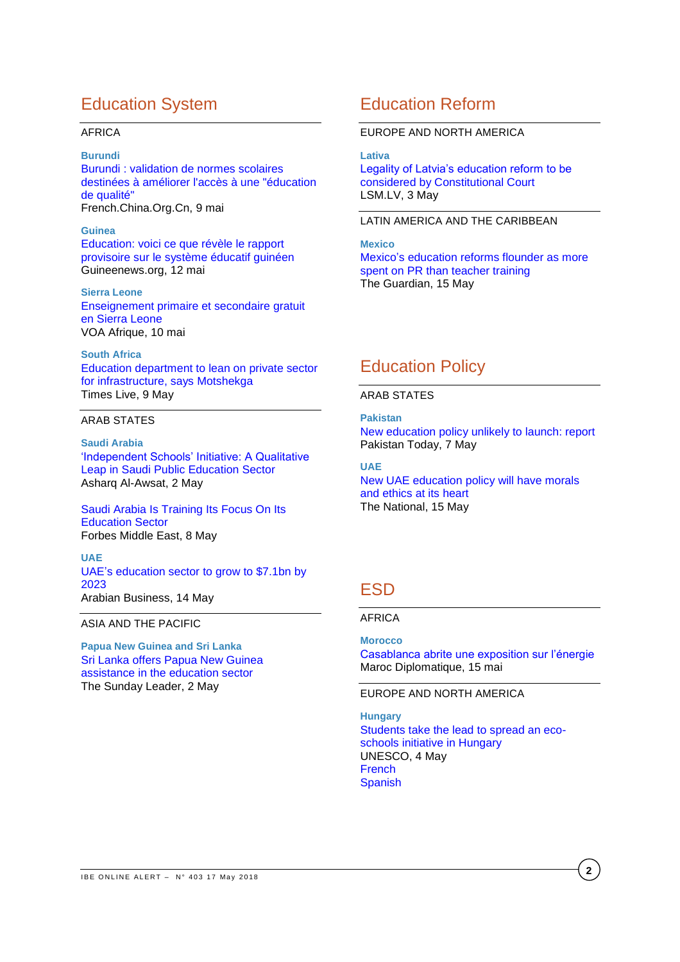## Education System

#### AFRICA

#### **Burundi**

[Burundi : validation de normes scolaires](http://french.china.org.cn/foreign/txt/2018-05/09/content_51187367.htm)  [destinées à améliorer l'accès à une "éducation](http://french.china.org.cn/foreign/txt/2018-05/09/content_51187367.htm)  [de qualité"](http://french.china.org.cn/foreign/txt/2018-05/09/content_51187367.htm) French.China.Org.Cn, 9 mai

#### **Guinea**

[Education: voici ce que révèle le rapport](https://www.guineenews.org/education-voici-ce-que-revele-le-rapport-provisoire-sur-le-systeme-educatif-guineen/)  provisoire sur le [système éducatif guinéen](https://www.guineenews.org/education-voici-ce-que-revele-le-rapport-provisoire-sur-le-systeme-educatif-guineen/) Guineenews.org, 12 mai

**Sierra Leone** [Enseignement primaire et secondaire gratuit](https://www.voaafrique.com/a/enseignement-primaire-et-secondaire-gratuit-en-sierra-leone/4388572.html)  [en Sierra Leone](https://www.voaafrique.com/a/enseignement-primaire-et-secondaire-gratuit-en-sierra-leone/4388572.html) VOA Afrique, 10 mai

**South Africa** [Education department to lean on private sector](https://www.timeslive.co.za/news/south-africa/2018-05-09-education-department-to-lean-on-private-sector-for-infrastructure-says-motshekga/)  [for infrastructure, says Motshekga](https://www.timeslive.co.za/news/south-africa/2018-05-09-education-department-to-lean-on-private-sector-for-infrastructure-says-motshekga/) Times Live, 9 May

## ARAB STATES

**Saudi Arabia** ['Independent Schools' Initiative: A Qualitative](https://aawsat.com/english/home/article/1255681/%E2%80%98independent-schools%E2%80%99-initiative-qualitative-leap-saudi-public-education-sector)  [Leap in Saudi Public Education Sector](https://aawsat.com/english/home/article/1255681/%E2%80%98independent-schools%E2%80%99-initiative-qualitative-leap-saudi-public-education-sector) Asharq Al-Awsat, 2 May

[Saudi Arabia Is Training Its Focus On Its](https://www.forbesmiddleeast.com/en/saudi-arabia-is-training-its-focus-on-its-education-sector/)  [Education Sector](https://www.forbesmiddleeast.com/en/saudi-arabia-is-training-its-focus-on-its-education-sector/) Forbes Middle East, 8 May

#### **UAE** [UAE's education sector to grow to \\$7.1bn by](http://www.arabianbusiness.com/education/396539-uaes-education-sector-to-grow-to-71bn-by-2023)  [2023](http://www.arabianbusiness.com/education/396539-uaes-education-sector-to-grow-to-71bn-by-2023) Arabian Business, 14 May

ASIA AND THE PACIFIC

**Papua New Guinea and Sri Lanka** [Sri Lanka offers Papua New Guinea](http://www.thesundayleader.lk/2018/05/14/sri-lanka-offers-papua-new-guinea-assistance-in-the-education-sector/)  [assistance in the education sector](http://www.thesundayleader.lk/2018/05/14/sri-lanka-offers-papua-new-guinea-assistance-in-the-education-sector/) The Sunday Leader, 2 May

## Education Reform

### EUROPE AND NORTH AMERICA

**Lativa**

[Legality of Latvia's education reform to be](https://eng.lsm.lv/article/society/education/legality-of-latvias-education-reform-to-be-considered-by-constitutional-court.a277041/)  [considered by Constitutional Court](https://eng.lsm.lv/article/society/education/legality-of-latvias-education-reform-to-be-considered-by-constitutional-court.a277041/) LSM.LV, 3 May

### LATIN AMERICA AND THE CARIBBEAN

**Mexico** [Mexico's education reforms flounder as more](https://www.theguardian.com/world/2018/may/15/mexico-education-reform-controversy-presidential-election)  [spent on PR than teacher training](https://www.theguardian.com/world/2018/may/15/mexico-education-reform-controversy-presidential-election) The Guardian, 15 May

# Education Policy

ARAB STATES

**Pakistan** [New education policy unlikely to launch: report](https://www.pakistantoday.com.pk/2018/05/07/new-education-policy-unlikely-to-launch-report/) Pakistan Today, 7 May

## **UAE**

[New UAE education policy will have morals](https://www.thenational.ae/uae/new-uae-education-policy-will-have-morals-and-ethics-at-its-heart-1.730602)  [and ethics at its heart](https://www.thenational.ae/uae/new-uae-education-policy-will-have-morals-and-ethics-at-its-heart-1.730602) The National, 15 May

# **FSD**

### AFRICA

**Morocco**

[Casablanca abrite une exposition sur l'énergie](http://maroc-diplomatique.net/casablanca-abrite-une-exposition-sur-lenergie/) Maroc Diplomatique, 15 mai

EUROPE AND NORTH AMERICA

**Hungary** [Students take the lead to spread an eco](https://en.unesco.org/news/students-take-lead-spread-eco-schools-initiative-hungary)[schools initiative in Hungary](https://en.unesco.org/news/students-take-lead-spread-eco-schools-initiative-hungary) UNESCO, 4 May [French](https://fr.unesco.org/news/eleves-chefs-file-promouvoir-initiative-ecoles-vertes-hongrie) **[Spanish](https://es.unesco.org/news/educandos-asumen-liderazgo-promover-iniciativa-escuelas-ecologicas-hungria)**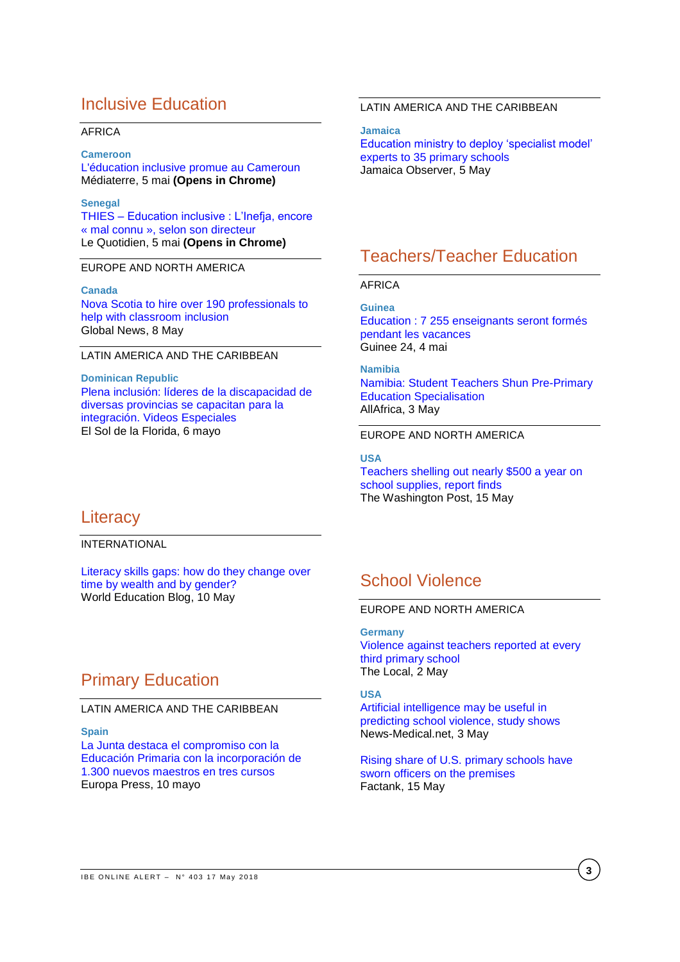## Inclusive Education

#### AFRICA

#### **Cameroon**

[L'éducation inclusive promue au Cameroun](https://www.mediaterre.org/actu,20180507103229,6.html) Médiaterre, 5 mai **(Opens in Chrome)**

#### **Senegal**

THIES – [Education inclusive : L'Inefja, encore](https://www.lequotidien.sn/thies-education-inclusive-linefja-encore-mal-connu-selon-son-directeur/)  « mal connu [», selon son directeur](https://www.lequotidien.sn/thies-education-inclusive-linefja-encore-mal-connu-selon-son-directeur/)  Le Quotidien, 5 mai **(Opens in Chrome)**

### EUROPE AND NORTH AMERICA

#### **Canada**

Nova [Scotia to hire over 190 professionals to](https://globalnews.ca/news/4194745/nova-scotia-to-hire-over-190-professionals-to-help-with-classroom-inclusion/)  [help with classroom inclusion](https://globalnews.ca/news/4194745/nova-scotia-to-hire-over-190-professionals-to-help-with-classroom-inclusion/) Global News, 8 May

### LATIN AMERICA AND THE CARIBBEAN

**Dominican Republic** [Plena inclusión: líderes de la discapacidad de](http://elsoldelaflorida.com/plena-inclusion-lideres-de-la-discapacidad-de-diversas-provincias-se-capacitan-para-la-integracion-videos-especiales/)  [diversas provincias se capacitan](http://elsoldelaflorida.com/plena-inclusion-lideres-de-la-discapacidad-de-diversas-provincias-se-capacitan-para-la-integracion-videos-especiales/) para la [integración. Videos Especiales](http://elsoldelaflorida.com/plena-inclusion-lideres-de-la-discapacidad-de-diversas-provincias-se-capacitan-para-la-integracion-videos-especiales/) El Sol de la Florida, 6 mayo

### LATIN AMERICA AND THE CARIBBEAN

**Jamaica**

[Education ministry to deploy 'specialist model'](http://www.jamaicaobserver.com/latestnews/Education_ministry_to_deploy_specialist_model_experts_to_35_primary_schools)  [experts to 35 primary schools](http://www.jamaicaobserver.com/latestnews/Education_ministry_to_deploy_specialist_model_experts_to_35_primary_schools) Jamaica Observer, 5 May

## Teachers/Teacher Education

### AFRICA

**Guinea** [Education : 7 255 enseignants seront formés](http://www.guinee24.com/lire/detail/guinee-7-255-enseignants-seront-formes-pendant-les-vacances)  [pendant les vacances](http://www.guinee24.com/lire/detail/guinee-7-255-enseignants-seront-formes-pendant-les-vacances) Guinee 24, 4 mai

**Namibia**

[Namibia: Student Teachers Shun Pre-Primary](http://allafrica.com/stories/201805030495.html)  [Education Specialisation](http://allafrica.com/stories/201805030495.html) AllAfrica, 3 May

### EUROPE AND NORTH AMERICA

**USA** [Teachers shelling out nearly \\$500 a year on](https://www.washingtonpost.com/local/education/teachers-shelling-out-nearly-500-a-year-on-school-supplies-report-finds/2018/05/14/af2affae-57b8-11e8-b656-a5f8c2a9295d_story.html?noredirect=on&utm_term=.9e67045e3b38&wpisrc=nl_sb_smartbrief)  [school supplies, report finds](https://www.washingtonpost.com/local/education/teachers-shelling-out-nearly-500-a-year-on-school-supplies-report-finds/2018/05/14/af2affae-57b8-11e8-b656-a5f8c2a9295d_story.html?noredirect=on&utm_term=.9e67045e3b38&wpisrc=nl_sb_smartbrief)

The Washington Post, 15 May

## **Literacy**

INTERNATIONAL

Literacy [skills gaps: how do they change over](https://gemreportunesco.wordpress.com/2018/05/10/literacy-skills-gaps-how-do-they-change-over-time-by-wealth-and-by-gender/)  [time by wealth and by gender?](https://gemreportunesco.wordpress.com/2018/05/10/literacy-skills-gaps-how-do-they-change-over-time-by-wealth-and-by-gender/) World Education Blog, 10 May

## Primary Education

#### LATIN AMERICA AND THE CARIBBEAN

#### **Spain**

[La Junta destaca el compromiso con la](http://www.europapress.es/andalucia/educacion-00651/noticia-junta-destaca-compromiso-educacion-primaria-incorporacion-1300-nuevos-maestros-tres-cursos-20180510154524.html)  [Educación Primaria con la incorporación de](http://www.europapress.es/andalucia/educacion-00651/noticia-junta-destaca-compromiso-educacion-primaria-incorporacion-1300-nuevos-maestros-tres-cursos-20180510154524.html)  [1.300 nuevos maestros en tres cursos](http://www.europapress.es/andalucia/educacion-00651/noticia-junta-destaca-compromiso-educacion-primaria-incorporacion-1300-nuevos-maestros-tres-cursos-20180510154524.html) Europa Press, 10 mayo

## School Violence

### EUROPE AND NORTH AMERICA

**Germany** [Violence against teachers reported at every](https://www.thelocal.de/20180502/physical-violence-against-teachers-reported-at-every-third-primary-school-study)  [third primary school](https://www.thelocal.de/20180502/physical-violence-against-teachers-reported-at-every-third-primary-school-study) The Local, 2 May

**USA**

[Artificial intelligence may be useful in](https://www.news-medical.net/news/20180503/Artificial-intelligence-may-be-useful-in-predictingc2a0school-violence-study-shows.aspx)  [predicting school violence, study shows](https://www.news-medical.net/news/20180503/Artificial-intelligence-may-be-useful-in-predictingc2a0school-violence-study-shows.aspx) News-Medical.net, 3 May

[Rising share of U.S. primary schools have](http://www.pewresearch.org/fact-tank/2018/05/15/rising-share-of-u-s-primary-schools-have-sworn-officers-on-the-premises/)  [sworn officers on the premises](http://www.pewresearch.org/fact-tank/2018/05/15/rising-share-of-u-s-primary-schools-have-sworn-officers-on-the-premises/) Factank, 15 May